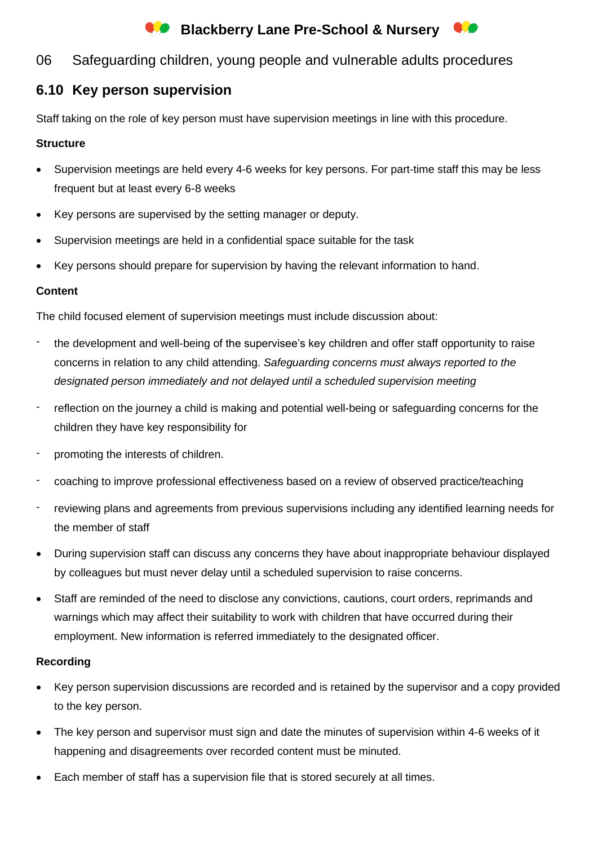# **Conducts** Blackberry Lane Pre-School & Nursery



### 06 Safeguarding children, young people and vulnerable adults procedures

## **6.10 Key person supervision**

Staff taking on the role of key person must have supervision meetings in line with this procedure.

#### **Structure**

- Supervision meetings are held every 4-6 weeks for key persons. For part-time staff this may be less frequent but at least every 6-8 weeks
- Key persons are supervised by the setting manager or deputy.
- Supervision meetings are held in a confidential space suitable for the task
- Key persons should prepare for supervision by having the relevant information to hand.

#### **Content**

The child focused element of supervision meetings must include discussion about:

- the development and well-being of the supervisee's key children and offer staff opportunity to raise concerns in relation to any child attending. *Safeguarding concerns must always reported to the designated person immediately and not delayed until a scheduled supervision meeting*
- reflection on the journey a child is making and potential well-being or safeguarding concerns for the children they have key responsibility for
- promoting the interests of children.
- coaching to improve professional effectiveness based on a review of observed practice/teaching
- reviewing plans and agreements from previous supervisions including any identified learning needs for the member of staff
- During supervision staff can discuss any concerns they have about inappropriate behaviour displayed by colleagues but must never delay until a scheduled supervision to raise concerns.
- Staff are reminded of the need to disclose any convictions, cautions, court orders, reprimands and warnings which may affect their suitability to work with children that have occurred during their employment. New information is referred immediately to the designated officer.

#### **Recording**

- Key person supervision discussions are recorded and is retained by the supervisor and a copy provided to the key person.
- The key person and supervisor must sign and date the minutes of supervision within 4-6 weeks of it happening and disagreements over recorded content must be minuted.
- Each member of staff has a supervision file that is stored securely at all times.